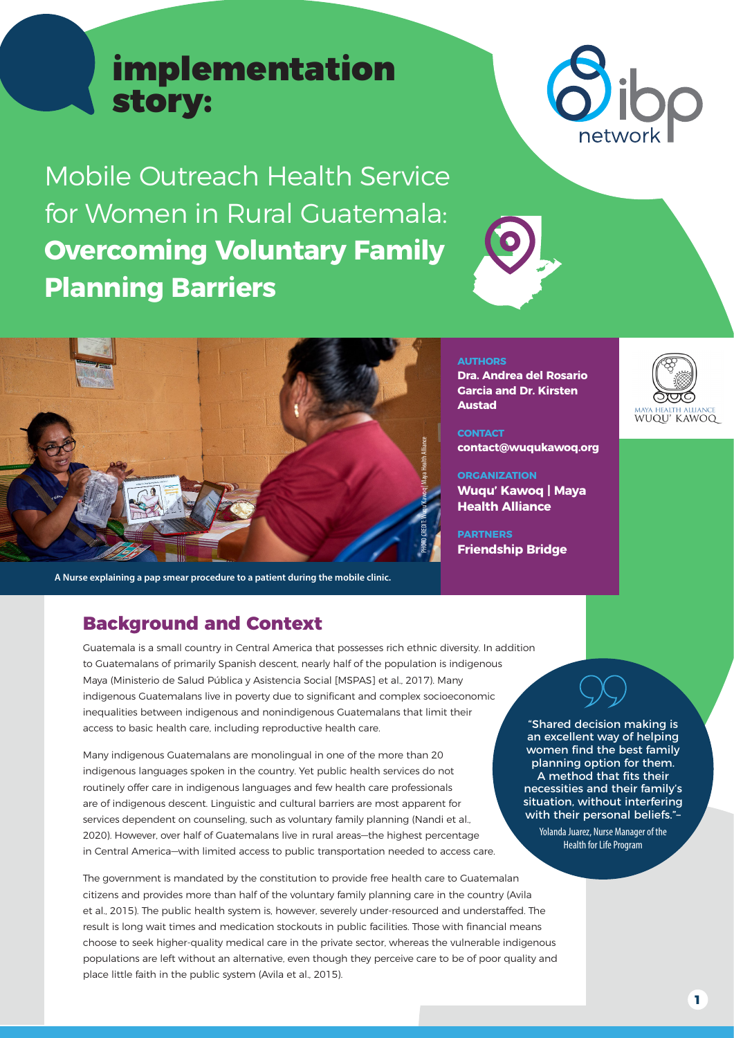# implementation story:

Mobile Outreach Health Service for Women in Rural Guatemala: **Overcoming Voluntary Family Planning Barriers**



PHOTO CREDIT: Wuqu' Kawoq | Maya Health Alliance

**A Nurse explaining a pap smear procedure to a patient during the mobile clinic.** 

## **Background and Context**

Guatemala is a small country in Central America that possesses rich ethnic diversity. In addition to Guatemalans of primarily Spanish descent, nearly half of the population is indigenous Maya (Ministerio de Salud Pública y Asistencia Social [MSPAS] et al., 2017). Many indigenous Guatemalans live in poverty due to significant and complex socioeconomic inequalities between indigenous and nonindigenous Guatemalans that limit their access to basic health care, including reproductive health care.

Many indigenous Guatemalans are monolingual in one of the more than 20 indigenous languages spoken in the country. Yet public health services do not routinely offer care in indigenous languages and few health care professionals are of indigenous descent. Linguistic and cultural barriers are most apparent for services dependent on counseling, such as voluntary family planning (Nandi et al., 2020). However, over half of Guatemalans live in rural areas—the highest percentage in Central America—with limited access to public transportation needed to access care.

The government is mandated by the constitution to provide free health care to Guatemalan citizens and provides more than half of the voluntary family planning care in the country (Avila et al., 2015). The public health system is, however, severely under-resourced and understaffed. The result is long wait times and medication stockouts in public facilities. Those with financial means choose to seek higher-quality medical care in the private sector, whereas the vulnerable indigenous populations are left without an alternative, even though they perceive care to be of poor quality and place little faith in the public system (Avila et al., 2015).

**AUTHORS Dra. Andrea del Rosario Garcia and Dr. Kirsten Austad**

**CONTACT contact@wuqukawoq.org**

### **ORGANIZATION**

**Wuqu' Kawoq | Maya Health Alliance**

**PARTNERS Friendship Bridge** 



"Shared decision making is an excellent way of helping women find the best family planning option for them. A method that fits their necessities and their family's situation, without interfering with their personal beliefs."–

Yolanda Juarez, Nurse Manager of the Health for Life Program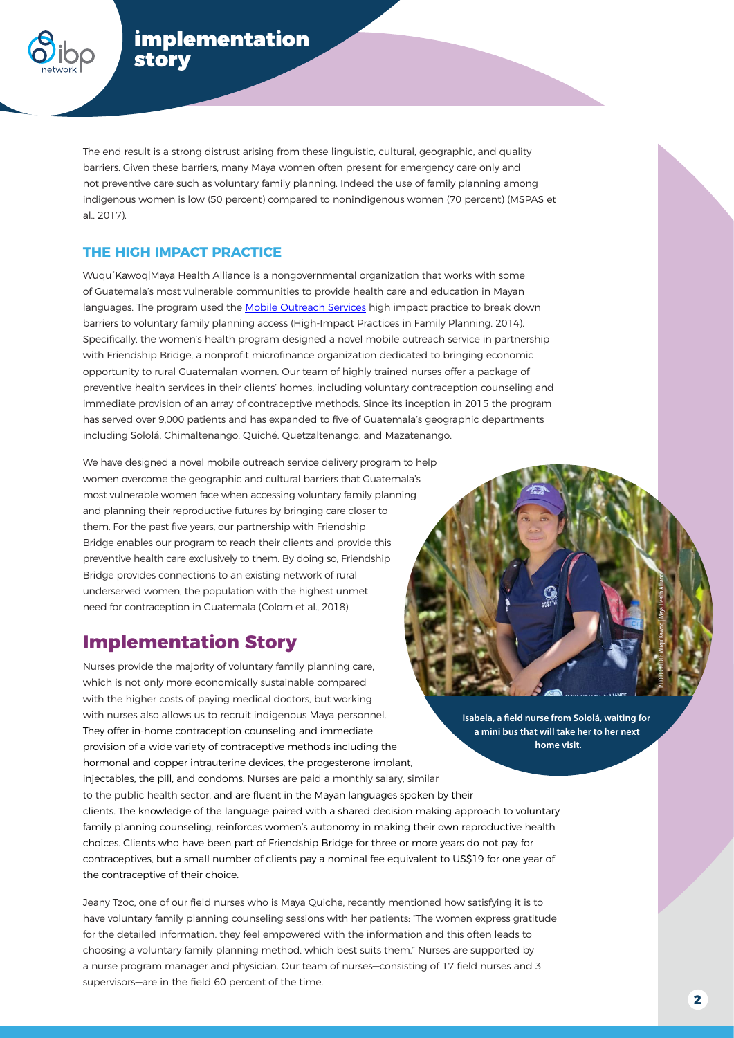

The end result is a strong distrust arising from these linguistic, cultural, geographic, and quality barriers. Given these barriers, many Maya women often present for emergency care only and not preventive care such as voluntary family planning. Indeed the use of family planning among indigenous women is low (50 percent) compared to nonindigenous women (70 percent) (MSPAS et al., 2017).

### **THE HIGH IMPACT PRACTICE**

Wuqu´Kawoq|Maya Health Alliance is a nongovernmental organization that works with some of Guatemala's most vulnerable communities to provide health care and education in Mayan languages. The program used the [Mobile Outreach Services](https://www.fphighimpactpractices.org/briefs/mobile-outreach-services/) high impact practice to break down barriers to voluntary family planning access (High-Impact Practices in Family Planning, 2014). Specifically, the women's health program designed a novel mobile outreach service in partnership with Friendship Bridge, a nonprofit microfinance organization dedicated to bringing economic opportunity to rural Guatemalan women. Our team of highly trained nurses offer a package of preventive health services in their clients' homes, including voluntary contraception counseling and immediate provision of an array of contraceptive methods. Since its inception in 2015 the program has served over 9,000 patients and has expanded to five of Guatemala's geographic departments including Sololá, Chimaltenango, Quiché, Quetzaltenango, and Mazatenango.

We have designed a novel mobile outreach service delivery program to help women overcome the geographic and cultural barriers that Guatemala's most vulnerable women face when accessing voluntary family planning and planning their reproductive futures by bringing care closer to them. For the past five years, our partnership with Friendship Bridge enables our program to reach their clients and provide this preventive health care exclusively to them. By doing so, Friendship Bridge provides connections to an existing network of rural underserved women, the population with the highest unmet need for contraception in Guatemala (Colom et al., 2018).

## **Implementation Story**

Nurses provide the majority of voluntary family planning care, which is not only more economically sustainable compared with the higher costs of paying medical doctors, but working with nurses also allows us to recruit indigenous Maya personnel. They offer in-home contraception counseling and immediate provision of a wide variety of contraceptive methods including the hormonal and copper intrauterine devices, the progesterone implant, injectables, the pill, and condoms. Nurses are paid a monthly salary, similar to the public health sector, and are fluent in the Mayan languages spoken by their clients. The knowledge of the language paired with a shared decision making approach to voluntary family planning counseling, reinforces women's autonomy in making their own reproductive health choices. Clients who have been part of Friendship Bridge for three or more years do not pay for contraceptives, but a small number of clients pay a nominal fee equivalent to US\$19 for one year of the contraceptive of their choice.

Jeany Tzoc, one of our field nurses who is Maya Quiche, recently mentioned how satisfying it is to have voluntary family planning counseling sessions with her patients: "The women express gratitude for the detailed information, they feel empowered with the information and this often leads to choosing a voluntary family planning method, which best suits them." Nurses are supported by a nurse program manager and physician. Our team of nurses—consisting of 17 field nurses and 3 supervisors—are in the field 60 percent of the time.

**Isabela, a field nurse from Sololá, waiting for a mini bus that will take her to her next home visit.** 

PHOTO CREDIT: Wuqu' Kawoq | Maya Health Alliance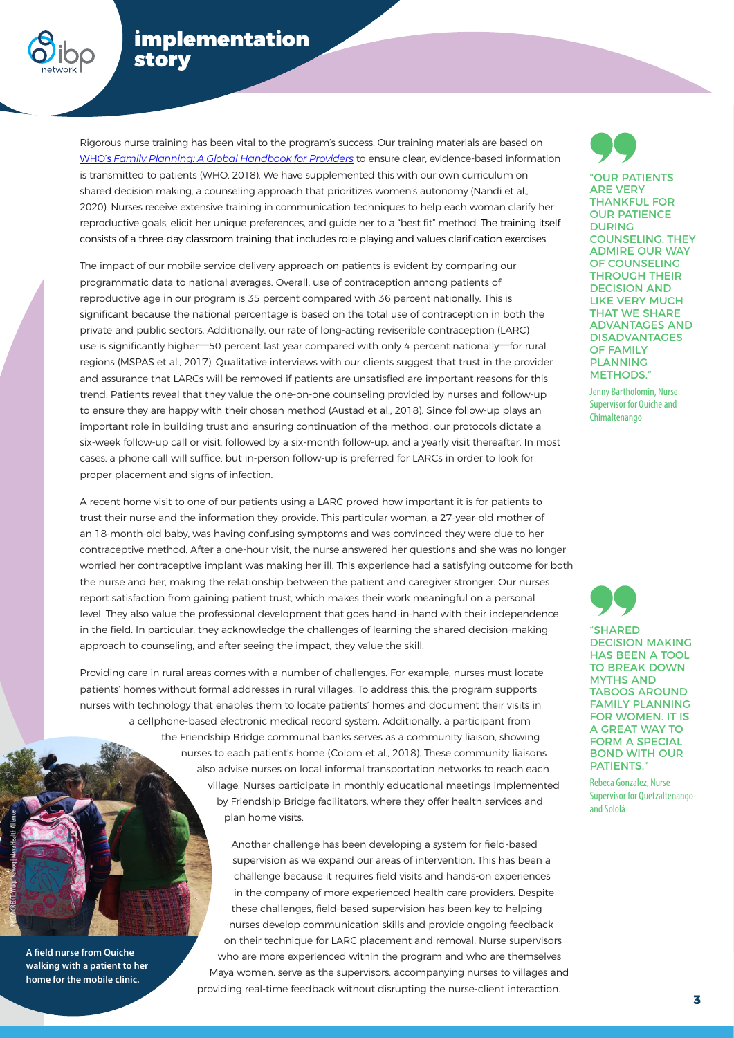

## implementation story

Rigorous nurse training has been vital to the program's success. Our training materials are based on [WHO's](https://www.who.int/reproductivehealth/publications/fp-global-handbook/en/) *[Family Planning: A Global Handbook for Providers](https://www.who.int/reproductivehealth/publications/fp-global-handbook/en/)* to ensure clear, evidence-based information is transmitted to patients (WHO, 2018). We have supplemented this with our own curriculum on shared decision making, a counseling approach that prioritizes women's autonomy (Nandi et al., 2020). Nurses receive extensive training in communication techniques to help each woman clarify her reproductive goals, elicit her unique preferences, and guide her to a "best fit" method. The training itself consists of a three-day classroom training that includes role-playing and values clarification exercises.

The impact of our mobile service delivery approach on patients is evident by comparing our programmatic data to national averages. Overall, use of contraception among patients of reproductive age in our program is 35 percent compared with 36 percent nationally. This is significant because the national percentage is based on the total use of contraception in both the private and public sectors. Additionally, our rate of long-acting reviserible contraception (LARC) use is significantly higher—50 percent last year compared with only 4 percent nationally—for rural regions (MSPAS et al., 2017). Qualitative interviews with our clients suggest that trust in the provider and assurance that LARCs will be removed if patients are unsatisfied are important reasons for this trend. Patients reveal that they value the one-on-one counseling provided by nurses and follow-up to ensure they are happy with their chosen method (Austad et al., 2018). Since follow-up plays an important role in building trust and ensuring continuation of the method, our protocols dictate a six-week follow-up call or visit, followed by a six-month follow-up, and a yearly visit thereafter. In most cases, a phone call will suffice, but in-person follow-up is preferred for LARCs in order to look for proper placement and signs of infection.

A recent home visit to one of our patients using a LARC proved how important it is for patients to trust their nurse and the information they provide. This particular woman, a 27-year-old mother of an 18-month-old baby, was having confusing symptoms and was convinced they were due to her contraceptive method. After a one-hour visit, the nurse answered her questions and she was no longer worried her contraceptive implant was making her ill. This experience had a satisfying outcome for both the nurse and her, making the relationship between the patient and caregiver stronger. Our nurses report satisfaction from gaining patient trust, which makes their work meaningful on a personal level. They also value the professional development that goes hand-in-hand with their independence in the field. In particular, they acknowledge the challenges of learning the shared decision-making approach to counseling, and after seeing the impact, they value the skill.

Providing care in rural areas comes with a number of challenges. For example, nurses must locate patients' homes without formal addresses in rural villages. To address this, the program supports nurses with technology that enables them to locate patients' homes and document their visits in a cellphone-based electronic medical record system. Additionally, a participant from the Friendship Bridge communal banks serves as a community liaison, showing nurses to each patient's home (Colom et al., 2018). These community liaisons also advise nurses on local informal transportation networks to reach each village. Nurses participate in monthly educational meetings implemented by Friendship Bridge facilitators, where they offer health services and plan home visits.

> Another challenge has been developing a system for field-based supervision as we expand our areas of intervention. This has been a challenge because it requires field visits and hands-on experiences in the company of more experienced health care providers. Despite these challenges, field-based supervision has been key to helping nurses develop communication skills and provide ongoing feedback on their technique for LARC placement and removal. Nurse supervisors who are more experienced within the program and who are themselves Maya women, serve as the supervisors, accompanying nurses to villages and providing real-time feedback without disrupting the nurse-client interaction.



"OUR PATIENTS ARE VERY THANKFUL FOR OUR PATIENCE DURING COUNSELING. THEY ADMIRE OUR WAY OF COUNSELING THROUGH THEIR DECISION AND LIKE VERY MUCH THAT WE SHARE ADVANTAGES AND DISADVANTAGES OF FAMILY PLANNING METHODS."

Jenny Bartholomin, Nurse Supervisor for Quiche and Chimaltenango



"SHARED DECISION MAKING HAS BEEN A TOOL TO BREAK DOWN MYTHS AND TABOOS AROUND FAMILY PLANNING FOR WOMEN. IT IS A GREAT WAY TO FORM A SPECIAL BOND WITH OUR PATIENTS."

Rebeca Gonzalez, Nurse Supervisor for Quetzaltenango and Sololá

**A field nurse from Quiche walking with a patient to her home for the mobile clinic.** 

PHOTO CREDIT: Wuqu' Kawoq | Maya Health Alliance